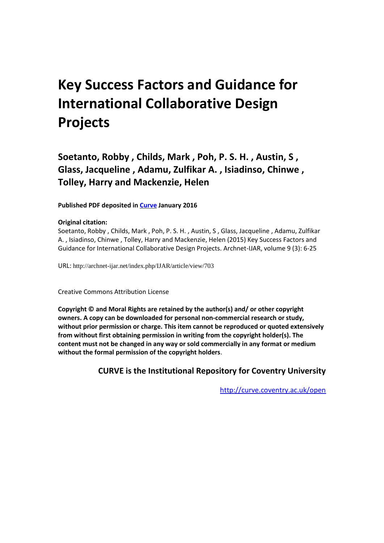# **Key Success Factors and Guidance for International Collaborative Design Projects**

**Soetanto, Robby , Childs, Mark , Poh, P. S. H. , Austin, S , Glass, Jacqueline , Adamu, Zulfikar A. , Isiadinso, Chinwe , Tolley, Harry and Mackenzie, Helen**

**Published PDF deposited in [Curve](http://curve.coventry.ac.uk/open) January 2016**

#### **Original citation:**

Soetanto, Robby , Childs, Mark , Poh, P. S. H. , Austin, S , Glass, Jacqueline , Adamu, Zulfikar A. , Isiadinso, Chinwe , Tolley, Harry and Mackenzie, Helen (2015) Key Success Factors and Guidance for International Collaborative Design Projects. Archnet-IJAR, volume 9 (3): 6-25

URL: http://archnet-ijar.net/index.php/IJAR/article/view/703

Creative Commons Attribution License

**Copyright © and Moral Rights are retained by the author(s) and/ or other copyright owners. A copy can be downloaded for personal non-commercial research or study, without prior permission or charge. This item cannot be reproduced or quoted extensively from without first obtaining permission in writing from the copyright holder(s). The content must not be changed in any way or sold commercially in any format or medium without the formal permission of the copyright holders**.

**CURVE is the Institutional Repository for Coventry University**

<http://curve.coventry.ac.uk/open>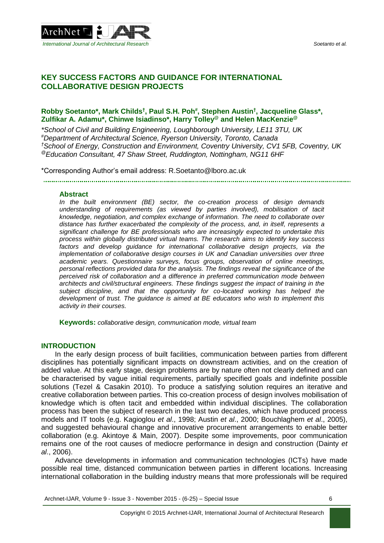

# **KEY SUCCESS FACTORS AND GUIDANCE FOR INTERNATIONAL COLLABORATIVE DESIGN PROJECTS**

#### **Robby Soetanto\*, Mark Childs† , Paul S.H. Poh# , Stephen Austin† , Jacqueline Glass\*, Zulfikar A. Adamu\*, Chinwe Isiadinso\*, Harry Tolley@ and Helen MacKenzie@**

*\*School of Civil and Building Engineering, Loughborough University, LE11 3TU, UK #Department of Architectural Science, Ryerson University, Toronto, Canada †School of Energy, Construction and Environment, Coventry University, CV1 5FB, Coventry, UK @Education Consultant, 47 Shaw Street, Ruddington, Nottingham, NG11 6HF*

\*Corresponding Author's email address: R.Soetanto@lboro.ac.uk

#### **Abstract**

*In the built environment (BE) sector, the co-creation process of design demands understanding of requirements (as viewed by parties involved), mobilisation of tacit knowledge, negotiation, and complex exchange of information. The need to collaborate over distance has further exacerbated the complexity of the process, and, in itself, represents a significant challenge for BE professionals who are increasingly expected to undertake this process within globally distributed virtual teams. The research aims to identify key success factors and develop guidance for international collaborative design projects, via the implementation of collaborative design courses in UK and Canadian universities over three academic years. Questionnaire surveys, focus groups, observation of online meetings, personal reflections provided data for the analysis. The findings reveal the significance of the perceived risk of collaboration and a difference in preferred communication mode between architects and civil/structural engineers. These findings suggest the impact of training in the subject discipline, and that the opportunity for co-located working has helped the development of trust. The guidance is aimed at BE educators who wish to implement this activity in their courses.*

**Keywords:** *collaborative design, communication mode, virtual team*

#### **INTRODUCTION**

In the early design process of built facilities, communication between parties from different disciplines has potentially significant impacts on downstream activities, and on the creation of added value. At this early stage, design problems are by nature often not clearly defined and can be characterised by vague initial requirements, partially specified goals and indefinite possible solutions (Tezel & Casakin 2010). To produce a satisfying solution requires an iterative and creative collaboration between parties. This co-creation process of design involves mobilisation of knowledge which is often tacit and embedded within individual disciplines. The collaboration process has been the subject of research in the last two decades, which have produced process models and IT tools (e.g. Kagioglou *et al*., 1998; Austin *et al*., 2000; Bouchlaghem *et al*., 2005), and suggested behavioural change and innovative procurement arrangements to enable better collaboration (e.g. Akintoye & Main, 2007). Despite some improvements, poor communication remains one of the root causes of mediocre performance in design and construction (Dainty *et al*., 2006).

Advance developments in information and communication technologies (ICTs) have made possible real time, distanced communication between parties in different locations. Increasing international collaboration in the building industry means that more professionals will be required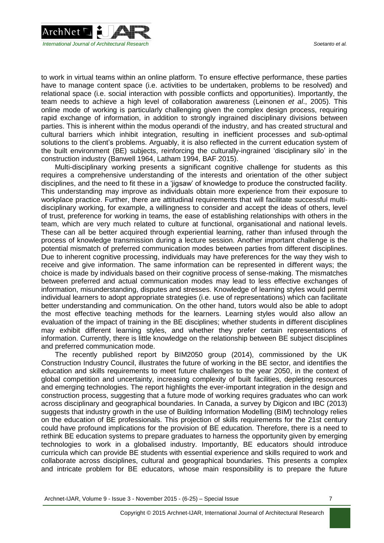

to work in virtual teams within an online platform. To ensure effective performance, these parties have to manage content space (i.e. activities to be undertaken, problems to be resolved) and relational space (i.e. social interaction with possible conflicts and opportunities). Importantly, the team needs to achieve a high level of collaboration awareness (Leinonen *et al*., 2005). This online mode of working is particularly challenging given the complex design process, requiring rapid exchange of information, in addition to strongly ingrained disciplinary divisions between parties. This is inherent within the modus operandi of the industry, and has created structural and cultural barriers which inhibit integration, resulting in inefficient processes and sub-optimal solutions to the client's problems. Arguably, it is also reflected in the current education system of the built environment (BE) subjects, reinforcing the culturally-ingrained 'disciplinary silo' in the construction industry (Banwell 1964, Latham 1994, BAF 2015).

Multi-disciplinary working presents a significant cognitive challenge for students as this requires a comprehensive understanding of the interests and orientation of the other subject disciplines, and the need to fit these in a 'jigsaw' of knowledge to produce the constructed facility. This understanding may improve as individuals obtain more experience from their exposure to workplace practice. Further, there are attitudinal requirements that will facilitate successful multidisciplinary working, for example, a willingness to consider and accept the ideas of others, level of trust, preference for working in teams, the ease of establishing relationships with others in the team, which are very much related to culture at functional, organisational and national levels. These can all be better acquired through experiential learning, rather than infused through the process of knowledge transmission during a lecture session. Another important challenge is the potential mismatch of preferred communication modes between parties from different disciplines. Due to inherent cognitive processing, individuals may have preferences for the way they wish to receive and give information. The same information can be represented in different ways; the choice is made by individuals based on their cognitive process of sense-making. The mismatches between preferred and actual communication modes may lead to less effective exchanges of information, misunderstanding, disputes and stresses. Knowledge of learning styles would permit individual learners to adopt appropriate strategies (i.e. use of representations) which can facilitate better understanding and communication. On the other hand, tutors would also be able to adopt the most effective teaching methods for the learners. Learning styles would also allow an evaluation of the impact of training in the BE disciplines; whether students in different disciplines may exhibit different learning styles, and whether they prefer certain representations of information. Currently, there is little knowledge on the relationship between BE subject disciplines and preferred communication mode.

The recently published report by BIM2050 group (2014), commissioned by the UK Construction Industry Council, illustrates the future of working in the BE sector, and identifies the education and skills requirements to meet future challenges to the year 2050, in the context of global competition and uncertainty, increasing complexity of built facilities, depleting resources and emerging technologies. The report highlights the ever-important integration in the design and construction process, suggesting that a future mode of working requires graduates who can work across disciplinary and geographical boundaries. In Canada, a survey by Digicon and IBC (2013) suggests that industry growth in the use of Building Information Modelling (BIM) technology relies on the education of BE professionals. This projection of skills requirements for the 21st century could have profound implications for the provision of BE education. Therefore, there is a need to rethink BE education systems to prepare graduates to harness the opportunity given by emerging technologies to work in a globalised industry. Importantly, BE educators should introduce curricula which can provide BE students with essential experience and skills required to work and collaborate across disciplines, cultural and geographical boundaries. This presents a complex and intricate problem for BE educators, whose main responsibility is to prepare the future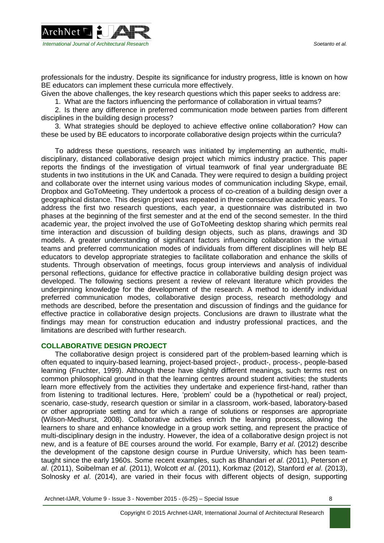

professionals for the industry. Despite its significance for industry progress, little is known on how BE educators can implement these curricula more effectively.

Given the above challenges, the key research questions which this paper seeks to address are:

1. What are the factors influencing the performance of collaboration in virtual teams?

2. Is there any difference in preferred communication mode between parties from different disciplines in the building design process?

3. What strategies should be deployed to achieve effective online collaboration? How can these be used by BE educators to incorporate collaborative design projects within the curricula?

To address these questions, research was initiated by implementing an authentic, multidisciplinary, distanced collaborative design project which mimics industry practice. This paper reports the findings of the investigation of virtual teamwork of final year undergraduate BE students in two institutions in the UK and Canada. They were required to design a building project and collaborate over the internet using various modes of communication including Skype, email, Dropbox and GoToMeeting. They undertook a process of co-creation of a building design over a geographical distance. This design project was repeated in three consecutive academic years. To address the first two research questions, each year, a questionnaire was distributed in two phases at the beginning of the first semester and at the end of the second semester. In the third academic year, the project involved the use of GoToMeeting desktop sharing which permits real time interaction and discussion of building design objects, such as plans, drawings and 3D models. A greater understanding of significant factors influencing collaboration in the virtual teams and preferred communication modes of individuals from different disciplines will help BE educators to develop appropriate strategies to facilitate collaboration and enhance the skills of students. Through observation of meetings, focus group interviews and analysis of individual personal reflections, guidance for effective practice in collaborative building design project was developed. The following sections present a review of relevant literature which provides the underpinning knowledge for the development of the research. A method to identify individual preferred communication modes, collaborative design process, research methodology and methods are described, before the presentation and discussion of findings and the guidance for effective practice in collaborative design projects. Conclusions are drawn to illustrate what the findings may mean for construction education and industry professional practices, and the limitations are described with further research.

#### **COLLABORATIVE DESIGN PROJECT**

The collaborative design project is considered part of the problem-based learning which is often equated to inquiry-based learning, project-based project-, product-, process-, people-based learning (Fruchter, 1999). Although these have slightly different meanings, such terms rest on common philosophical ground in that the learning centres around student activities; the students learn more effectively from the activities they undertake and experience first-hand, rather than from listening to traditional lectures. Here, 'problem' could be a (hypothetical or real) project, scenario, case-study, research question or similar in a classroom, work-based, laboratory-based or other appropriate setting and for which a range of solutions or responses are appropriate (Wilson-Medhurst, 2008). Collaborative activities enrich the learning process, allowing the learners to share and enhance knowledge in a group work setting, and represent the practice of multi-disciplinary design in the industry. However, the idea of a collaborative design project is not new, and is a feature of BE courses around the world. For example, Barry *et al*. (2012) describe the development of the capstone design course in Purdue University, which has been teamtaught since the early 1960s. Some recent examples, such as Bhandari *et al*. (2011), Peterson *et al*. (2011), Soibelman *et al*. (2011), Wolcott *et al*. (2011), Korkmaz (2012), Stanford *et al*. (2013), Solnosky *et al*. (2014), are varied in their focus with different objects of design, supporting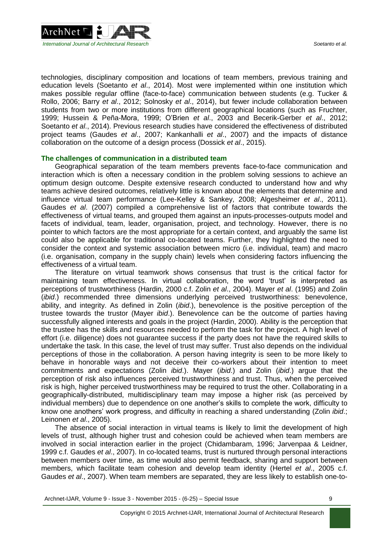

technologies, disciplinary composition and locations of team members, previous training and education levels (Soetanto *et al*., 2014). Most were implemented within one institution which makes possible regular offline (face-to-face) communication between students (e.g. Tucker & Rollo, 2006; Barry *et al*., 2012; Solnosky *et al*., 2014), but fewer include collaboration between students from two or more institutions from different geographical locations (such as Fruchter, 1999; Hussein & Peña-Mora, 1999; O'Brien *et al*., 2003 and Becerik-Gerber *et al*., 2012; Soetanto *et al*., 2014). Previous research studies have considered the effectiveness of distributed project teams (Gaudes *et al*., 2007; Kankanhalli *et al*., 2007) and the impacts of distance collaboration on the outcome of a design process (Dossick *et al*., 2015).

#### **The challenges of communication in a distributed team**

Geographical separation of the team members prevents face-to-face communication and interaction which is often a necessary condition in the problem solving sessions to achieve an optimum design outcome. Despite extensive research conducted to understand how and why teams achieve desired outcomes, relatively little is known about the elements that determine and influence virtual team performance (Lee-Kelley & Sankey, 2008; Algesheimer *et al*., 2011). Gaudes *et al*. (2007) compiled a comprehensive list of factors that contribute towards the effectiveness of virtual teams, and grouped them against an inputs-processes-outputs model and facets of individual, team, leader, organisation, project, and technology. However, there is no pointer to which factors are the most appropriate for a certain context, and arguably the same list could also be applicable for traditional co-located teams. Further, they highlighted the need to consider the context and systemic association between micro (i.e. individual, team) and macro (i.e. organisation, company in the supply chain) levels when considering factors influencing the effectiveness of a virtual team.

The literature on virtual teamwork shows consensus that trust is the critical factor for maintaining team effectiveness. In virtual collaboration, the word 'trust' is interpreted as perceptions of trustworthiness (Hardin, 2000 c.f. Zolin *et al*., 2004). Mayer *et al*. (1995) and Zolin (*ibid*.) recommended three dimensions underlying perceived trustworthiness: benevolence, ability, and integrity. As defined in Zolin (*ibid*.), benevolence is the positive perception of the trustee towards the trustor (Mayer *ibid*.). Benevolence can be the outcome of parties having successfully aligned interests and goals in the project (Hardin, 2000). Ability is the perception that the trustee has the skills and resources needed to perform the task for the project. A high level of effort (i.e. diligence) does not guarantee success if the party does not have the required skills to undertake the task. In this case, the level of trust may suffer. Trust also depends on the individual perceptions of those in the collaboration. A person having integrity is seen to be more likely to behave in honorable ways and not deceive their co-workers about their intention to meet commitments and expectations (Zolin *ibid*.). Mayer (*ibid*.) and Zolin (*ibid*.) argue that the perception of risk also influences perceived trustworthiness and trust. Thus, when the perceived risk is high, higher perceived trustworthiness may be required to trust the other. Collaborating in a geographically-distributed, multidisciplinary team may impose a higher risk (as perceived by individual members) due to dependence on one another's skills to complete the work, difficulty to know one anothers' work progress, and difficulty in reaching a shared understanding (Zolin *ibid*.; Leinonen *et al*., 2005).

The absence of social interaction in virtual teams is likely to limit the development of high levels of trust, although higher trust and cohesion could be achieved when team members are involved in social interaction earlier in the project (Chidambaram, 1996; Jarvenpaa & Leidner, 1999 c.f. Gaudes *et al*., 2007). In co-located teams, trust is nurtured through personal interactions between members over time, as time would also permit feedback, sharing and support between members, which facilitate team cohesion and develop team identity (Hertel *et al*., 2005 c.f. Gaudes *et al*., 2007). When team members are separated, they are less likely to establish one-to-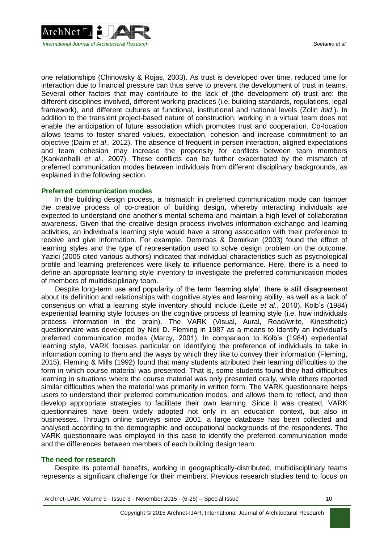

one relationships (Chinowsky & Rojas, 2003). As trust is developed over time, reduced time for interaction due to financial pressure can thus serve to prevent the development of trust in teams. Several other factors that may contribute to the lack of (the development of) trust are: the different disciplines involved, different working practices (i.e. building standards, regulations, legal framework), and different cultures at functional, institutional and national levels (Zolin *ibid*.). In addition to the transient project-based nature of construction, working in a virtual team does not enable the anticipation of future association which promotes trust and cooperation. Co-location allows teams to foster shared values, expectation, cohesion and increase commitment to an objective (Daim *et al*., 2012). The absence of frequent in-person interaction, aligned expectations and team cohesion may increase the propensity for conflicts between team members (Kankanhalli *et al*., 2007). These conflicts can be further exacerbated by the mismatch of preferred communication modes between individuals from different disciplinary backgrounds, as explained in the following section.

#### **Preferred communication modes**

In the building design process, a mismatch in preferred communication mode can hamper the creative process of co-creation of building design, whereby interacting individuals are expected to understand one another's mental schema and maintain a high level of collaboration awareness. Given that the creative design process involves information exchange and learning activities, an individual's learning style would have a strong association with their preference to receive and give information. For example, Demirbas & Demirkan (2003) found the effect of learning styles and the type of representation used to solve design problem on the outcome. Yazici (2005 cited various authors) indicated that individual characteristics such as psychological profile and learning preferences were likely to influence performance. Here, there is a need to define an appropriate learning style inventory to investigate the preferred communication modes of members of multidisciplinary team.

Despite long-term use and popularity of the term 'learning style', there is still disagreement about its definition and relationships with cognitive styles and learning ability, as well as a lack of consensus on what a learning style inventory should include (Leite *et al*., 2010). Kolb's (1984) experiential learning style focuses on the cognitive process of learning style (i.e. how individuals process information in the brain). The VARK (Visual, Aural, Read/write, Kinesthetic) questionnaire was developed by Neil D. Fleming in 1987 as a means to identify an individual's preferred communication modes (Marcy, 2001). In comparison to Kolb's (1984) experiential learning style, VARK focuses particular on identifying the preference of individuals to take in information coming to them and the ways by which they like to convey their information (Fleming, 2015). Fleming & Mills (1992) found that many students attributed their learning difficulties to the form in which course material was presented. That is, some students found they had difficulties learning in situations where the course material was only presented orally, while others reported similar difficulties when the material was primarily in written form. The VARK questionnaire helps users to understand their preferred communication modes, and allows them to reflect, and then develop appropriate strategies to facilitate their own learning. Since it was created, VARK questionnaires have been widely adopted not only in an education context, but also in businesses. Through online surveys since 2001, a large database has been collected and analysed according to the demographic and occupational backgrounds of the respondents. The VARK questionnaire was employed in this case to identify the preferred communication mode and the differences between members of each building design team.

#### **The need for research**

Despite its potential benefits, working in geographically-distributed, multidisciplinary teams represents a significant challenge for their members. Previous research studies tend to focus on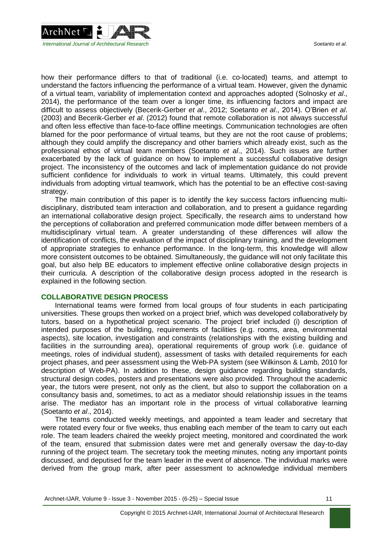

how their performance differs to that of traditional (i.e. co-located) teams, and attempt to understand the factors influencing the performance of a virtual team. However, given the dynamic of a virtual team, variability of implementation context and approaches adopted (Solnosky *et al*., 2014), the performance of the team over a longer time, its influencing factors and impact are difficult to assess objectively (Becerik-Gerber *et al*., 2012; Soetanto *et al*., 2014). O'Brien *et al*. (2003) and Becerik-Gerber *et al*. (2012) found that remote collaboration is not always successful and often less effective than face-to-face offline meetings. Communication technologies are often blamed for the poor performance of virtual teams, but they are not the root cause of problems; although they could amplify the discrepancy and other barriers which already exist, such as the professional ethos of virtual team members (Soetanto *et al*., 2014). Such issues are further exacerbated by the lack of guidance on how to implement a successful collaborative design project. The inconsistency of the outcomes and lack of implementation guidance do not provide sufficient confidence for individuals to work in virtual teams. Ultimately, this could prevent individuals from adopting virtual teamwork, which has the potential to be an effective cost-saving strategy.

The main contribution of this paper is to identify the key success factors influencing multidisciplinary, distributed team interaction and collaboration, and to present a guidance regarding an international collaborative design project. Specifically, the research aims to understand how the perceptions of collaboration and preferred communication mode differ between members of a multidisciplinary virtual team. A greater understanding of these differences will allow the identification of conflicts, the evaluation of the impact of disciplinary training, and the development of appropriate strategies to enhance performance. In the long-term, this knowledge will allow more consistent outcomes to be obtained. Simultaneously, the guidance will not only facilitate this goal, but also help BE educators to implement effective online collaborative design projects in their curricula. A description of the collaborative design process adopted in the research is explained in the following section.

#### **COLLABORATIVE DESIGN PROCESS**

International teams were formed from local groups of four students in each participating universities. These groups then worked on a project brief, which was developed collaboratively by tutors, based on a hypothetical project scenario. The project brief included (i) description of intended purposes of the building, requirements of facilities (e.g. rooms, area, environmental aspects), site location, investigation and constraints (relationships with the existing building and facilities in the surrounding area), operational requirements of group work (i.e. guidance of meetings, roles of individual student), assessment of tasks with detailed requirements for each project phases, and peer assessment using the Web-PA system (see Wilkinson & Lamb, 2010 for description of Web-PA). In addition to these, design guidance regarding building standards, structural design codes, posters and presentations were also provided. Throughout the academic year, the tutors were present, not only as the client, but also to support the collaboration on a consultancy basis and, sometimes, to act as a mediator should relationship issues in the teams arise. The mediator has an important role in the process of virtual collaborative learning (Soetanto *et al*., 2014).

The teams conducted weekly meetings, and appointed a team leader and secretary that were rotated every four or five weeks, thus enabling each member of the team to carry out each role. The team leaders chaired the weekly project meeting, monitored and coordinated the work of the team, ensured that submission dates were met and generally oversaw the day-to-day running of the project team. The secretary took the meeting minutes, noting any important points discussed, and deputised for the team leader in the event of absence. The individual marks were derived from the group mark, after peer assessment to acknowledge individual members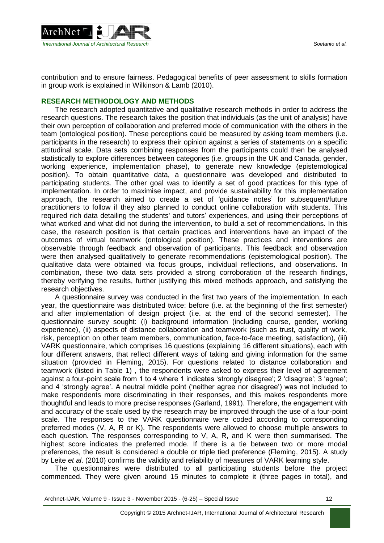

contribution and to ensure fairness. Pedagogical benefits of peer assessment to skills formation in group work is explained in Wilkinson & Lamb (2010).

#### **RESEARCH METHODOLOGY AND METHODS**

The research adopted quantitative and qualitative research methods in order to address the research questions. The research takes the position that individuals (as the unit of analysis) have their own perception of collaboration and preferred mode of communication with the others in the team (ontological position). These perceptions could be measured by asking team members (i.e. participants in the research) to express their opinion against a series of statements on a specific attitudinal scale. Data sets combining responses from the participants could then be analysed statistically to explore differences between categories (i.e. groups in the UK and Canada, gender, working experience, implementation phase), to generate new knowledge (epistemological position). To obtain quantitative data, a questionnaire was developed and distributed to participating students. The other goal was to identify a set of good practices for this type of implementation. In order to maximise impact, and provide sustainability for this implementation approach, the research aimed to create a set of 'guidance notes' for subsequent/future practitioners to follow if they also planned to conduct online collaboration with students. This required rich data detailing the students' and tutors' experiences, and using their perceptions of what worked and what did not during the intervention, to build a set of recommendations. In this case, the research position is that certain practices and interventions have an impact of the outcomes of virtual teamwork (ontological position). These practices and interventions are observable through feedback and observation of participants. This feedback and observation were then analysed qualitatively to generate recommendations (epistemological position). The qualitative data were obtained via focus groups, individual reflections, and observations. In combination, these two data sets provided a strong corroboration of the research findings, thereby verifying the results, further justifying this mixed methods approach, and satisfying the research objectives.

A questionnaire survey was conducted in the first two years of the implementation. In each year, the questionnaire was distributed twice: before (i.e. at the beginning of the first semester) and after implementation of design project (i.e. at the end of the second semester). The questionnaire survey sought: (i) background information (including course, gender, working experience), (ii) aspects of distance collaboration and teamwork (such as trust, quality of work, risk, perception on other team members, communication, face-to-face meeting, satisfaction), (iii) VARK questionnaire, which comprises 16 questions (explaining 16 different situations), each with four different answers, that reflect different ways of taking and giving information for the same situation (provided in Fleming, 2015). For questions related to distance collaboration and teamwork (listed in Table 1) , the respondents were asked to express their level of agreement against a four-point scale from 1 to 4 where 1 indicates 'strongly disagree'; 2 'disagree'; 3 'agree'; and 4 'strongly agree'. A neutral middle point ('neither agree nor disagree') was not included to make respondents more discriminating in their responses, and this makes respondents more thoughtful and leads to more precise responses (Garland, 1991). Therefore, the engagement with and accuracy of the scale used by the research may be improved through the use of a four-point scale. The responses to the VARK questionnaire were coded according to corresponding preferred modes (V, A, R or K). The respondents were allowed to choose multiple answers to each question. The responses corresponding to V, A, R, and K were then summarised. The highest score indicates the preferred mode. If there is a tie between two or more modal preferences, the result is considered a double or triple tied preference (Fleming, 2015). A study by Leite *et al*. (2010) confirms the validity and reliability of measures of VARK learning style.

The questionnaires were distributed to all participating students before the project commenced. They were given around 15 minutes to complete it (three pages in total), and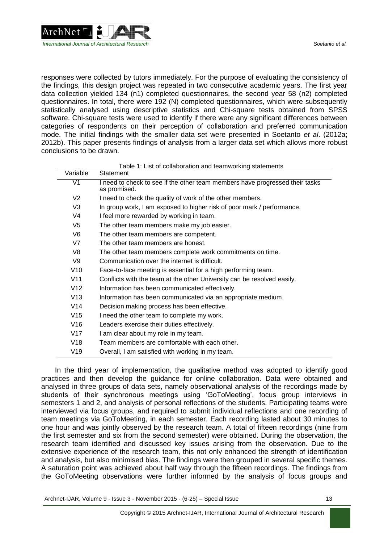

responses were collected by tutors immediately. For the purpose of evaluating the consistency of the findings, this design project was repeated in two consecutive academic years. The first year data collection yielded 134 (n1) completed questionnaires, the second year 58 (n2) completed questionnaires. In total, there were 192 (N) completed questionnaires, which were subsequently statistically analysed using descriptive statistics and Chi-square tests obtained from SPSS software. Chi-square tests were used to identify if there were any significant differences between categories of respondents on their perception of collaboration and preferred communication mode. The initial findings with the smaller data set were presented in Soetanto *et al*. (2012a; 2012b). This paper presents findings of analysis from a larger data set which allows more robust conclusions to be drawn.

Table 1: List of collaboration and teamworking statements statements statements statements statements statements

| Variable<br>Statement<br>V1<br>I need to check to see if the other team members have progressed their tasks<br>as promised.<br>V <sub>2</sub><br>I need to check the quality of work of the other members. |  |
|------------------------------------------------------------------------------------------------------------------------------------------------------------------------------------------------------------|--|
|                                                                                                                                                                                                            |  |
|                                                                                                                                                                                                            |  |
|                                                                                                                                                                                                            |  |
| V <sub>3</sub><br>In group work, I am exposed to higher risk of poor mark / performance.                                                                                                                   |  |
| V <sub>4</sub><br>I feel more rewarded by working in team.                                                                                                                                                 |  |
| V5<br>The other team members make my job easier.                                                                                                                                                           |  |
| V6<br>The other team members are competent.                                                                                                                                                                |  |
| V7<br>The other team members are honest.                                                                                                                                                                   |  |
| V8<br>The other team members complete work commitments on time.                                                                                                                                            |  |
| Communication over the internet is difficult.<br>V9                                                                                                                                                        |  |
| V10<br>Face-to-face meeting is essential for a high performing team.                                                                                                                                       |  |
| V11<br>Conflicts with the team at the other University can be resolved easily.                                                                                                                             |  |
| V12<br>Information has been communicated effectively.                                                                                                                                                      |  |
| V13<br>Information has been communicated via an appropriate medium.                                                                                                                                        |  |
| V <sub>14</sub><br>Decision making process has been effective.                                                                                                                                             |  |
| V <sub>15</sub><br>I need the other team to complete my work.                                                                                                                                              |  |
| V16<br>Leaders exercise their duties effectively.                                                                                                                                                          |  |
| V17<br>I am clear about my role in my team.                                                                                                                                                                |  |
| V18<br>Team members are comfortable with each other.                                                                                                                                                       |  |
| V19<br>Overall, I am satisfied with working in my team.                                                                                                                                                    |  |

In the third year of implementation, the qualitative method was adopted to identify good practices and then develop the guidance for online collaboration. Data were obtained and analysed in three groups of data sets, namely observational analysis of the recordings made by students of their synchronous meetings using 'GoToMeeting', focus group interviews in semesters 1 and 2, and analysis of personal reflections of the students. Participating teams were interviewed via focus groups, and required to submit individual reflections and one recording of team meetings via GoToMeeting, in each semester. Each recording lasted about 30 minutes to one hour and was jointly observed by the research team. A total of fifteen recordings (nine from the first semester and six from the second semester) were obtained. During the observation, the research team identified and discussed key issues arising from the observation. Due to the extensive experience of the research team, this not only enhanced the strength of identification and analysis, but also minimised bias. The findings were then grouped in several specific themes. A saturation point was achieved about half way through the fifteen recordings. The findings from the GoToMeeting observations were further informed by the analysis of focus groups and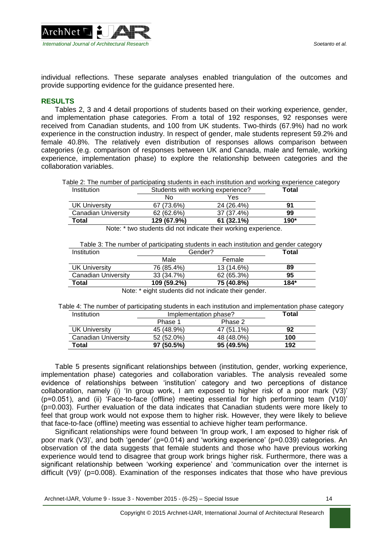

individual reflections. These separate analyses enabled triangulation of the outcomes and provide supporting evidence for the guidance presented here.

#### **RESULTS**

Tables 2, 3 and 4 detail proportions of students based on their working experience, gender, and implementation phase categories. From a total of 192 responses, 92 responses were received from Canadian students, and 100 from UK students. Two-thirds (67.9%) had no work experience in the construction industry. In respect of gender, male students represent 59.2% and female 40.8%. The relatively even distribution of responses allows comparison between categories (e.g. comparison of responses between UK and Canada, male and female, working experience, implementation phase) to explore the relationship between categories and the collaboration variables.

Table 2: The number of participating students in each institution and working experience category Institution Students with working experience? **Total**

|                      | No          | Yes                                                             |      |
|----------------------|-------------|-----------------------------------------------------------------|------|
| <b>UK University</b> | 67 (73.6%)  | 24 (26.4%)                                                      | 91   |
| Canadian University  | 62 (62.6%)  | 37 (37.4%)                                                      | 99   |
| Total                | 129 (67.9%) | 61(32.1%)                                                       | 190* |
|                      |             | Niste: * ture studente did not indicate their werking avantance |      |

Note: \* two students did not indicate their working experience.

| Institution                                                                                                                                                                                                                   | Gender?     |            | <b>Total</b> |  |
|-------------------------------------------------------------------------------------------------------------------------------------------------------------------------------------------------------------------------------|-------------|------------|--------------|--|
|                                                                                                                                                                                                                               | Male        | Female     |              |  |
| UK University                                                                                                                                                                                                                 | 76 (85.4%)  | 13 (14.6%) | 89           |  |
| Canadian University                                                                                                                                                                                                           | 33 (34.7%)  | 62 (65.3%) | 95           |  |
| Total                                                                                                                                                                                                                         | 109 (59.2%) | 75 (40.8%) | $184*$       |  |
| All and the contribution of the contribution of the Holly and the contribution of the contribution of the contribution of the contribution of the contribution of the contribution of the contribution of the contribution of |             |            |              |  |

Note: \* eight students did not indicate their gender.

Table 4: The number of participating students in each institution and implementation phase category<br>Institution **Implementation phase**?<br>**Total** Implementation phase<sup>2</sup>

| 11 13 11 13 11 11 11 1 | <u>IIIDIGIIIGIILAIUII DILASG:</u> |            | ι νιαι |
|------------------------|-----------------------------------|------------|--------|
|                        | Phase 1                           | Phase 2    |        |
| <b>UK University</b>   | 45 (48.9%)                        | 47 (51.1%) | 92     |
| Canadian University    | 52 (52.0%)                        | 48 (48.0%) | 100    |
| Total                  | 97(50.5%)                         | 95(49.5%)  | 192    |

Table 5 presents significant relationships between (institution, gender, working experience, implementation phase) categories and collaboration variables. The analysis revealed some evidence of relationships between 'institution' category and two perceptions of distance collaboration, namely (i) 'In group work, I am exposed to higher risk of a poor mark (V3)' (p=0.051), and (ii) 'Face-to-face (offline) meeting essential for high performing team (V10)' (p=0.003). Further evaluation of the data indicates that Canadian students were more likely to feel that group work would not expose them to higher risk. However, they were likely to believe that face-to-face (offline) meeting was essential to achieve higher team performance.

Significant relationships were found between 'In group work, I am exposed to higher risk of poor mark (V3)', and both 'gender' (p=0.014) and 'working experience' (p=0.039) categories. An observation of the data suggests that female students and those who have previous working experience would tend to disagree that group work brings higher risk. Furthermore, there was a significant relationship between 'working experience' and 'communication over the internet is difficult (V9)' (p=0.008). Examination of the responses indicates that those who have previous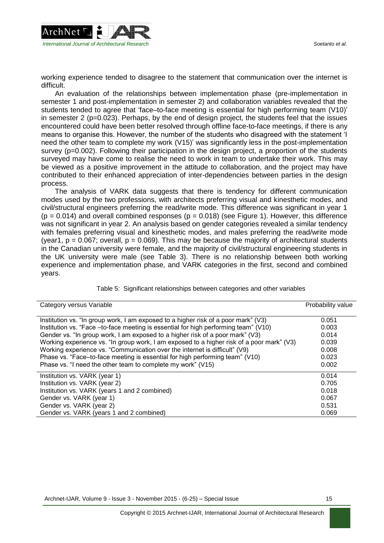

working experience tended to disagree to the statement that communication over the internet is difficult.

An evaluation of the relationships between implementation phase (pre-implementation in semester 1 and post-implementation in semester 2) and collaboration variables revealed that the students tended to agree that 'face–to-face meeting is essential for high performing team (V10)' in semester 2 ( $p=0.023$ ). Perhaps, by the end of design project, the students feel that the issues encountered could have been better resolved through offline face-to-face meetings, if there is any means to organise this. However, the number of the students who disagreed with the statement 'I need the other team to complete my work (V15)' was significantly less in the post-implementation survey (p=0.002). Following their participation in the design project, a proportion of the students surveyed may have come to realise the need to work in team to undertake their work. This may be viewed as a positive improvement in the attitude to collaboration, and the project may have contributed to their enhanced appreciation of inter-dependencies between parties in the design process.

The analysis of VARK data suggests that there is tendency for different communication modes used by the two professions, with architects preferring visual and kinesthetic modes, and civil/structural engineers preferring the read/write mode. This difference was significant in year 1  $(p = 0.014)$  and overall combined responses  $(p = 0.018)$  (see Figure 1). However, this difference was not significant in year 2. An analysis based on gender categories revealed a similar tendency with females preferring visual and kinesthetic modes, and males preferring the read/write mode (year1,  $p = 0.067$ ; overall,  $p = 0.069$ ). This may be because the majority of architectural students in the Canadian university were female, and the majority of civil/structural engineering students in the UK university were male (see Table 3). There is no relationship between both working experience and implementation phase, and VARK categories in the first, second and combined years.

| Category versus Variable                                                                  | Probability value |
|-------------------------------------------------------------------------------------------|-------------------|
| Institution vs. "In group work, I am exposed to a higher risk of a poor mark" (V3)        | 0.051             |
| Institution vs. "Face -to-face meeting is essential for high performing team" (V10)       | 0.003             |
| Gender vs. "In group work, I am exposed to a higher risk of a poor mark" (V3)             | 0.014             |
| Working experience vs. "In group work, I am exposed to a higher risk of a poor mark" (V3) | 0.039             |
| Working experience vs. "Communication over the internet is difficult" (V9)                | 0.008             |
| Phase vs. "Face-to-face meeting is essential for high performing team" (V10)              | 0.023             |
| Phase vs. "I need the other team to complete my work" (V15)                               | 0.002             |
| Institution vs. VARK (year 1)                                                             | 0.014             |
| Institution vs. VARK (year 2)                                                             | 0.705             |
| Institution vs. VARK (years 1 and 2 combined)                                             | 0.018             |
| Gender vs. VARK (year 1)                                                                  | 0.067             |
| Gender vs. VARK (year 2)                                                                  | 0.531             |
| Gender vs. VARK (years 1 and 2 combined)                                                  | 0.069             |

Table 5: Significant relationships between categories and other variables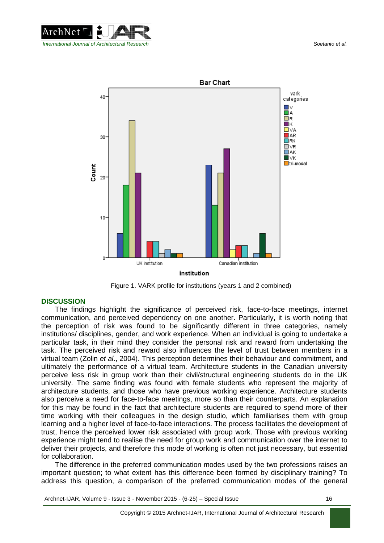



Figure 1. VARK profile for institutions (years 1 and 2 combined)

## **DISCUSSION**

The findings highlight the significance of perceived risk, face-to-face meetings, internet communication, and perceived dependency on one another. Particularly, it is worth noting that the perception of risk was found to be significantly different in three categories, namely institutions/ disciplines, gender, and work experience. When an individual is going to undertake a particular task, in their mind they consider the personal risk and reward from undertaking the task. The perceived risk and reward also influences the level of trust between members in a virtual team (Zolin *et al*., 2004). This perception determines their behaviour and commitment, and ultimately the performance of a virtual team. Architecture students in the Canadian university perceive less risk in group work than their civil/structural engineering students do in the UK university. The same finding was found with female students who represent the majority of architecture students, and those who have previous working experience. Architecture students also perceive a need for face-to-face meetings, more so than their counterparts. An explanation for this may be found in the fact that architecture students are required to spend more of their time working with their colleagues in the design studio, which familiarises them with group learning and a higher level of face-to-face interactions. The process facilitates the development of trust, hence the perceived lower risk associated with group work. Those with previous working experience might tend to realise the need for group work and communication over the internet to deliver their projects, and therefore this mode of working is often not just necessary, but essential for collaboration.

The difference in the preferred communication modes used by the two professions raises an important question; to what extent has this difference been formed by disciplinary training? To address this question, a comparison of the preferred communication modes of the general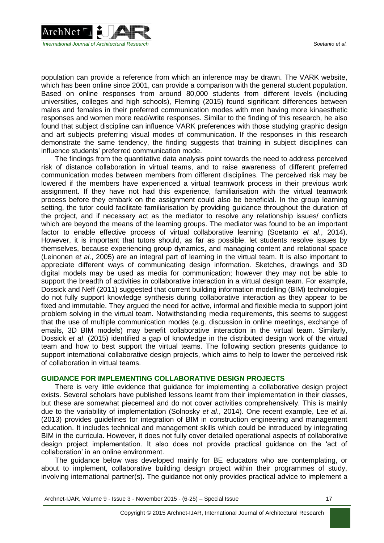

population can provide a reference from which an inference may be drawn. The VARK website, which has been online since 2001, can provide a comparison with the general student population. Based on online responses from around 80,000 students from different levels (including universities, colleges and high schools), Fleming (2015) found significant differences between males and females in their preferred communication modes with men having more kinaesthetic responses and women more read/write responses. Similar to the finding of this research, he also found that subject discipline can influence VARK preferences with those studying graphic design and art subjects preferring visual modes of communication. If the responses in this research demonstrate the same tendency, the finding suggests that training in subject disciplines can influence students' preferred communication mode.

The findings from the quantitative data analysis point towards the need to address perceived risk of distance collaboration in virtual teams, and to raise awareness of different preferred communication modes between members from different disciplines. The perceived risk may be lowered if the members have experienced a virtual teamwork process in their previous work assignment. If they have not had this experience, familiarisation with the virtual teamwork process before they embark on the assignment could also be beneficial. In the group learning setting, the tutor could facilitate familiarisation by providing guidance throughout the duration of the project, and if necessary act as the mediator to resolve any relationship issues/ conflicts which are beyond the means of the learning groups. The mediator was found to be an important factor to enable effective process of virtual collaborative learning (Soetanto *et al*., 2014). However, it is important that tutors should, as far as possible, let students resolve issues by themselves, because experiencing group dynamics, and managing content and relational space (Leinonen *et al*., 2005) are an integral part of learning in the virtual team. It is also important to appreciate different ways of communicating design information. Sketches, drawings and 3D digital models may be used as media for communication; however they may not be able to support the breadth of activities in collaborative interaction in a virtual design team. For example, Dossick and Neff (2011) suggested that current building information modelling (BIM) technologies do not fully support knowledge synthesis during collaborative interaction as they appear to be fixed and immutable. They argued the need for active, informal and flexible media to support joint problem solving in the virtual team. Notwithstanding media requirements, this seems to suggest that the use of multiple communication modes (e.g. discussion in online meetings, exchange of emails, 3D BIM models) may benefit collaborative interaction in the virtual team. Similarly, Dossick *et al*. (2015) identified a gap of knowledge in the distributed design work of the virtual team and how to best support the virtual teams. The following section presents guidance to support international collaborative design projects, which aims to help to lower the perceived risk of collaboration in virtual teams.

#### **GUIDANCE FOR IMPLEMENTING COLLABORATIVE DESIGN PROJECTS**

There is very little evidence that guidance for implementing a collaborative design project exists. Several scholars have published lessons learnt from their implementation in their classes, but these are somewhat piecemeal and do not cover activities comprehensively. This is mainly due to the variability of implementation (Solnosky *et al*., 2014). One recent example, Lee *et al*. (2013) provides guidelines for integration of BIM in construction engineering and management education. It includes technical and management skills which could be introduced by integrating BIM in the curricula. However, it does not fully cover detailed operational aspects of collaborative design project implementation. It also does not provide practical guidance on the 'act of collaboration' in an online environment.

The guidance below was developed mainly for BE educators who are contemplating, or about to implement, collaborative building design project within their programmes of study, involving international partner(s). The guidance not only provides practical advice to implement a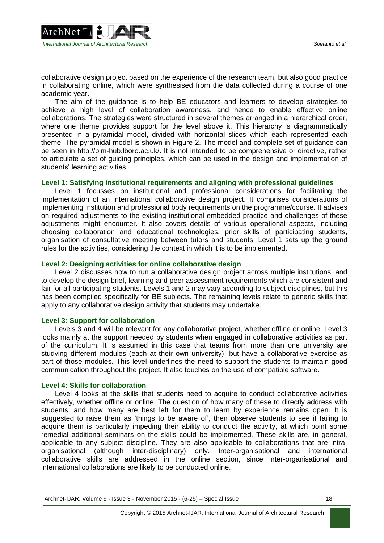

collaborative design project based on the experience of the research team, but also good practice in collaborating online, which were synthesised from the data collected during a course of one academic year.

The aim of the guidance is to help BE educators and learners to develop strategies to achieve a high level of collaboration awareness, and hence to enable effective online collaborations. The strategies were structured in several themes arranged in a hierarchical order, where one theme provides support for the level above it. This hierarchy is diagrammatically presented in a pyramidal model, divided with horizontal slices which each represented each theme. The pyramidal model is shown in Figure 2. The model and complete set of guidance can be seen in [http://bim-hub.lboro.ac.uk/.](http://bim-hub.lboro.ac.uk/) It is not intended to be comprehensive or directive, rather to articulate a set of guiding principles, which can be used in the design and implementation of students' learning activities.

#### **Level 1: Satisfying institutional requirements and aligning with professional guidelines**

Level 1 focusses on institutional and professional considerations for facilitating the implementation of an international collaborative design project. It comprises considerations of implementing institution and professional body requirements on the programme/course. It advises on required adjustments to the existing institutional embedded practice and challenges of these adjustments might encounter. It also covers details of various operational aspects, including choosing collaboration and educational technologies, prior skills of participating students, organisation of consultative meeting between tutors and students. Level 1 sets up the ground rules for the activities, considering the context in which it is to be implemented.

#### **Level 2: Designing activities for online collaborative design**

Level 2 discusses how to run a collaborative design project across multiple institutions, and to develop the design brief, learning and peer assessment requirements which are consistent and fair for all participating students. Levels 1 and 2 may vary according to subject disciplines, but this has been compiled specifically for BE subjects. The remaining levels relate to generic skills that apply to any collaborative design activity that students may undertake.

#### **Level 3: Support for collaboration**

Levels 3 and 4 will be relevant for any collaborative project, whether offline or online. Level 3 looks mainly at the support needed by students when engaged in collaborative activities as part of the curriculum. It is assumed in this case that teams from more than one university are studying different modules (each at their own university), but have a collaborative exercise as part of those modules. This level underlines the need to support the students to maintain good communication throughout the project. It also touches on the use of compatible software.

## **Level 4: Skills for collaboration**

Level 4 looks at the skills that students need to acquire to conduct collaborative activities effectively, whether offline or online. The question of how many of these to directly address with students, and how many are best left for them to learn by experience remains open. It is suggested to raise them as 'things to be aware of', then observe students to see if failing to acquire them is particularly impeding their ability to conduct the activity, at which point some remedial additional seminars on the skills could be implemented. These skills are, in general, applicable to any subject discipline. They are also applicable to collaborations that are intraorganisational (although inter-disciplinary) only. Inter-organisational and international collaborative skills are addressed in the online section, since inter-organisational and international collaborations are likely to be conducted online.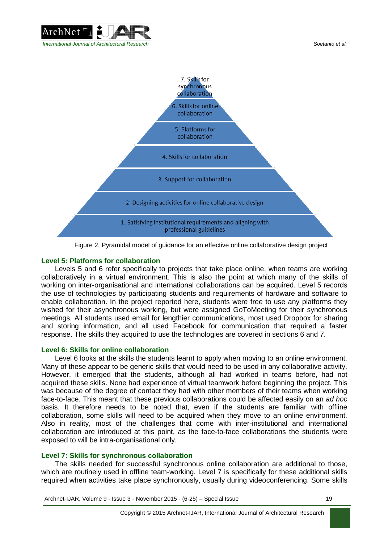



Figure 2. Pyramidal model of guidance for an effective online collaborative design project

#### **Level 5: Platforms for collaboration**

Levels 5 and 6 refer specifically to projects that take place online, when teams are working collaboratively in a virtual environment. This is also the point at which many of the skills of working on inter-organisational and international collaborations can be acquired. Level 5 records the use of technologies by participating students and requirements of hardware and software to enable collaboration. In the project reported here, students were free to use any platforms they wished for their asynchronous working, but were assigned GoToMeeting for their synchronous meetings. All students used email for lengthier communications, most used Dropbox for sharing and storing information, and all used Facebook for communication that required a faster response. The skills they acquired to use the technologies are covered in sections 6 and 7.

#### **Level 6: Skills for online collaboration**

Level 6 looks at the skills the students learnt to apply when moving to an online environment. Many of these appear to be generic skills that would need to be used in any collaborative activity. However, it emerged that the students, although all had worked in teams before, had not acquired these skills. None had experience of virtual teamwork before beginning the project. This was because of the degree of contact they had with other members of their teams when working face-to-face. This meant that these previous collaborations could be affected easily on an *ad hoc* basis. It therefore needs to be noted that, even if the students are familiar with offline collaboration, some skills will need to be acquired when they move to an online environment. Also in reality, most of the challenges that come with inter-institutional and international collaboration are introduced at this point, as the face-to-face collaborations the students were exposed to will be intra-organisational only.

#### **Level 7: Skills for synchronous collaboration**

The skills needed for successful synchronous online collaboration are additional to those, which are routinely used in offline team-working. Level 7 is specifically for these additional skills required when activities take place synchronously, usually during videoconferencing. Some skills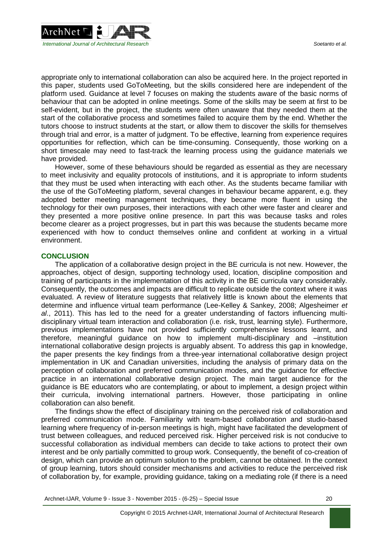

appropriate only to international collaboration can also be acquired here. In the project reported in this paper, students used GoToMeeting, but the skills considered here are independent of the platform used. Guidance at level 7 focuses on making the students aware of the basic norms of behaviour that can be adopted in online meetings. Some of the skills may be seem at first to be self-evident, but in the project, the students were often unaware that they needed them at the start of the collaborative process and sometimes failed to acquire them by the end. Whether the tutors choose to instruct students at the start, or allow them to discover the skills for themselves through trial and error, is a matter of judgment. To be effective, learning from experience requires opportunities for reflection, which can be time-consuming. Consequently, those working on a short timescale may need to fast-track the learning process using the guidance materials we have provided.

However, some of these behaviours should be regarded as essential as they are necessary to meet inclusivity and equality protocols of institutions, and it is appropriate to inform students that they must be used when interacting with each other. As the students became familiar with the use of the GoToMeeting platform, several changes in behaviour became apparent, e.g. they adopted better meeting management techniques, they became more fluent in using the technology for their own purposes, their interactions with each other were faster and clearer and they presented a more positive online presence. In part this was because tasks and roles become clearer as a project progresses, but in part this was because the students became more experienced with how to conduct themselves online and confident at working in a virtual environment.

#### **CONCLUSION**

The application of a collaborative design project in the BE curricula is not new. However, the approaches, object of design, supporting technology used, location, discipline composition and training of participants in the implementation of this activity in the BE curricula vary considerably. Consequently, the outcomes and impacts are difficult to replicate outside the context where it was evaluated. A review of literature suggests that relatively little is known about the elements that determine and influence virtual team performance (Lee-Kelley & Sankey, 2008; Algesheimer *et al*., 2011). This has led to the need for a greater understanding of factors influencing multidisciplinary virtual team interaction and collaboration (i.e. risk, trust, learning style). Furthermore, previous implementations have not provided sufficiently comprehensive lessons learnt, and therefore, meaningful guidance on how to implement multi-disciplinary and –institution international collaborative design projects is arguably absent. To address this gap in knowledge, the paper presents the key findings from a three-year international collaborative design project implementation in UK and Canadian universities, including the analysis of primary data on the perception of collaboration and preferred communication modes, and the guidance for effective practice in an international collaborative design project. The main target audience for the guidance is BE educators who are contemplating, or about to implement, a design project within their curricula, involving international partners. However, those participating in online collaboration can also benefit.

The findings show the effect of disciplinary training on the perceived risk of collaboration and preferred communication mode. Familiarity with team-based collaboration and studio-based learning where frequency of in-person meetings is high, might have facilitated the development of trust between colleagues, and reduced perceived risk. Higher perceived risk is not conducive to successful collaboration as individual members can decide to take actions to protect their own interest and be only partially committed to group work. Consequently, the benefit of co-creation of design, which can provide an optimum solution to the problem, cannot be obtained. In the context of group learning, tutors should consider mechanisms and activities to reduce the perceived risk of collaboration by, for example, providing guidance, taking on a mediating role (if there is a need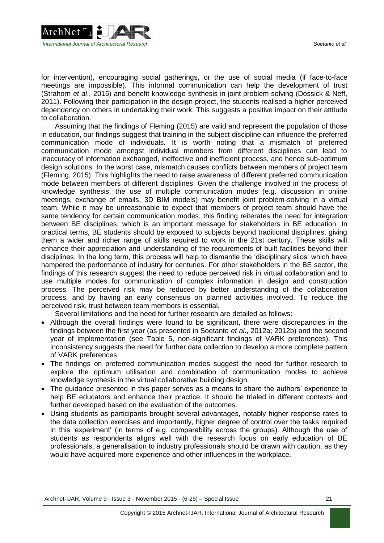

for intervention), encouraging social gatherings, or the use of social media (if face-to-face meetings are impossible). This informal communication can help the development of trust (Strahorn *et al*., 2015) and benefit knowledge synthesis in joint problem solving (Dossick & Neff, 2011). Following their participation in the design project, the students realised a higher perceived dependency on others in undertaking their work. This suggests a positive impact on their attitude to collaboration.

Assuming that the findings of Fleming (2015) are valid and represent the population of those in education, our findings suggest that training in the subject discipline can influence the preferred communication mode of individuals. It is worth noting that a mismatch of preferred communication mode amongst individual members from different disciplines can lead to inaccuracy of information exchanged, ineffective and inefficient process, and hence sub-optimum design solutions. In the worst case, mismatch causes conflicts between members of project team (Fleming, 2015). This highlights the need to raise awareness of different preferred communication mode between members of different disciplines. Given the challenge involved in the process of knowledge synthesis, the use of multiple communication modes (e.g. discussion in online meetings, exchange of emails, 3D BIM models) may benefit joint problem-solving in a virtual team. While it may be unreasonable to expect that members of project team should have the same tendency for certain communication modes, this finding reiterates the need for integration between BE disciplines, which is an important message for stakeholders in BE education. In practical terms, BE students should be exposed to subjects beyond traditional disciplines, giving them a wider and richer range of skills required to work in the 21st century. These skills will enhance their appreciation and understanding of the requirements of built facilities beyond their disciplines. In the long term, this process will help to dismantle the 'disciplinary silos' which have hampered the performance of industry for centuries. For other stakeholders in the BE sector, the findings of this research suggest the need to reduce perceived risk in virtual collaboration and to use multiple modes for communication of complex information in design and construction process. The perceived risk may be reduced by better understanding of the collaboration process, and by having an early consensus on planned activities involved. To reduce the perceived risk, trust between team members is essential.

Several limitations and the need for further research are detailed as follows:

- Although the overall findings were found to be significant, there were discrepancies in the findings between the first year (as presented in Soetanto *et al*., 2012a; 2012b) and the second year of implementation (see Table 5, non-significant findings of VARK preferences). This inconsistency suggests the need for further data collection to develop a more complete pattern of VARK preferences.
- The findings on preferred communication modes suggest the need for further research to explore the optimum utilisation and combination of communication modes to achieve knowledge synthesis in the virtual collaborative building design.
- The guidance presented in this paper serves as a means to share the authors' experience to help BE educators and enhance their practice. It should be trialed in different contexts and further developed based on the evaluation of the outcomes.
- Using students as participants brought several advantages, notably higher response rates to the data collection exercises and importantly, higher degree of control over the tasks required in this 'experiment' (in terms of e.g. comparability across the groups). Although the use of students as respondents aligns well with the research focus on early education of BE professionals, a generalisation to industry professionals should be drawn with caution, as they would have acquired more experience and other influences in the workplace.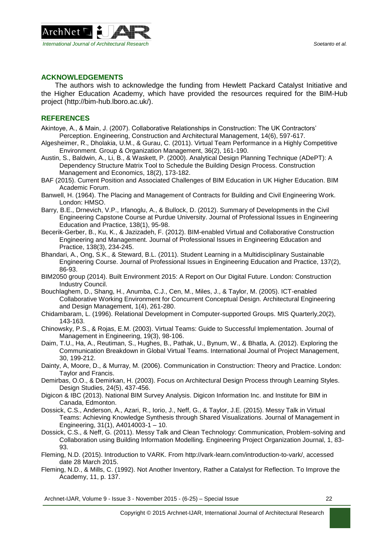

## **ACKNOWLEDGEMENTS**

The authors wish to acknowledge the funding from Hewlett Packard Catalyst Initiative and the Higher Education Academy, which have provided the resources required for the BIM-Hub project [\(http://bim-hub.lboro.ac.uk/\)](http://bim-hub.lboro.ac.uk/).

## **REFERENCES**

- Akintoye, A., & Main, J. (2007). Collaborative Relationships in Construction: The UK Contractors' Perception. Engineering, Construction and Architectural Management, 14(6), 597-617.
- Algesheimer, R., Dholakia, U.M., & Gurau, C. (2011). Virtual Team Performance in a Highly Competitive Environment. Group & Organization Management, 36(2), 161-190.
- Austin, S., Baldwin, A., Li, B., & Waskett, P. (2000). Analytical Design Planning Technique (ADePT): A Dependency Structure Matrix Tool to Schedule the Building Design Process. Construction Management and Economics, 18(2), 173-182.
- BAF (2015). Current Position and Associated Challenges of BIM Education in UK Higher Education. BIM Academic Forum.
- Banwell, H. (1964). The Placing and Management of Contracts for Building and Civil Engineering Work. London: HMSO.
- Barry, B.E., Drnevich, V.P., Irfanoglu, A., & Bullock, D. (2012). Summary of Developments in the Civil Engineering Capstone Course at Purdue University. Journal of Professional Issues in Engineering Education and Practice, 138(1), 95-98.
- Becerik-Gerber, B., Ku, K., & Jazizadeh, F. (2012). BIM-enabled Virtual and Collaborative Construction Engineering and Management. Journal of Professional Issues in Engineering Education and Practice, 138(3), 234-245.
- Bhandari, A., Ong, S.K., & Steward, B.L. (2011). Student Learning in a Multidisciplinary Sustainable Engineering Course. Journal of Professional Issues in Engineering Education and Practice, 137(2), 86-93.
- BIM2050 group (2014). Built Environment 2015: A Report on Our Digital Future. London: Construction Industry Council.
- Bouchlaghem, D., Shang, H., Anumba, C.J., Cen, M., Miles, J., & Taylor, M. (2005). ICT-enabled Collaborative Working Environment for Concurrent Conceptual Design. Architectural Engineering and Design Management, 1(4), 261-280.
- Chidambaram, L. (1996). Relational Development in Computer-supported Groups. MIS Quarterly,20(2), 143-163.
- Chinowsky, P.S., & Rojas, E.M. (2003). Virtual Teams: Guide to Successful Implementation. Journal of Management in Engineering, 19(3), 98-106.
- Daim, T.U., Ha, A., Reutiman, S., Hughes, B., Pathak, U., Bynum, W., & Bhatla, A. (2012). Exploring the Communication Breakdown in Global Virtual Teams. International Journal of Project Management, 30, 199-212.
- Dainty, A, Moore, D., & Murray, M. (2006). Communication in Construction: Theory and Practice. London: Taylor and Francis.
- Demirbas, O.O., & Demirkan, H. (2003). Focus on Architectural Design Process through Learning Styles. Design Studies, 24(5), 437-456.
- Digicon & IBC (2013). National BIM Survey Analysis. Digicon Information Inc. and Institute for BIM in Canada, Edmonton.
- Dossick, C.S., Anderson, A., Azari, R., Iorio, J., Neff, G., & Taylor, J.E. (2015). Messy Talk in Virtual Teams: Achieving Knowledge Synthesis through Shared Visualizations. Journal of Management in Engineering, 31(1), A4014003-1 – 10.
- Dossick, C.S., & Neff, G. (2011). Messy Talk and Clean Technology: Communication, Problem-solving and Collaboration using Building Information Modelling. Engineering Project Organization Journal, 1, 83- 93.
- Fleming, N.D. (2015). Introduction to VARK. From http://vark-learn.com/introduction-to-vark/, accessed date 28 March 2015.
- Fleming, N.D., & Mills, C. (1992). Not Another Inventory, Rather a Catalyst for Reflection. To Improve the Academy, 11, p. 137.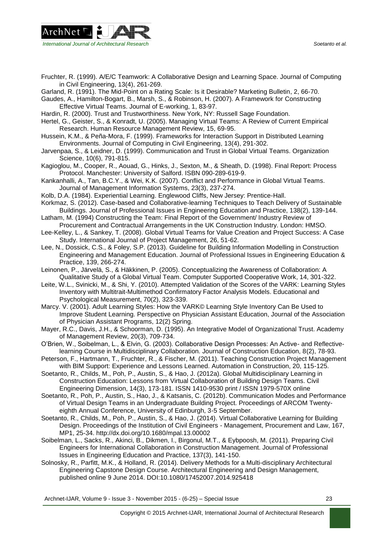

- Fruchter, R. (1999). A/E/C Teamwork: A Collaborative Design and Learning Space. Journal of Computing in Civil Engineering, 13(4), 261-269.
- Garland, R. (1991). The Mid-Point on a Rating Scale: Is it Desirable? Marketing Bulletin, 2, 66-70.

Gaudes, A., Hamilton-Bogart, B., Marsh, S., & Robinson, H. (2007). A Framework for Constructing Effective Virtual Teams. Journal of E-working, 1, 83-97.

- Hardin, R. (2000). Trust and Trustworthiness. New York, NY: Russell Sage Foundation.
- Hertel, G., Geister, S., & Konradt, U. (2005). Managing Virtual Teams: A Review of Current Empirical Research. Human Resource Management Review, 15, 69-95.
- Hussein, K.M., & Peña-Mora, F. (1999). Frameworks for Interaction Support in Distributed Learning Environments. Journal of Computing in Civil Engineering, 13(4), 291-302.
- Jarvenpaa, S., & Leidner, D. (1999). Communication and Trust in Global Virtual Teams. Organization Science, 10(6), 791-815.
- Kagioglou, M., Cooper, R., Aouad, G., Hinks, J., Sexton, M., & Sheath, D. (1998). Final Report: Process Protocol. Manchester: University of Salford. ISBN 090-289-619-9.
- Kankanhalli, A., Tan, B.C.Y., & Wei, K.K. (2007). Conflict and Performance in Global Virtual Teams. Journal of Management Information Systems, 23(3), 237-274.
- Kolb, D.A. (1984). Experiential Learning. Englewood Cliffs, New Jersey: Prentice-Hall.
- Korkmaz, S. (2012). Case-based and Collaborative-learning Techniques to Teach Delivery of Sustainable Buildings. Journal of Professional Issues in Engineering Education and Practice, 138(2), 139-144.
- Latham, M. (1994) Constructing the Team: Final Report of the Government/ Industry Review of Procurement and Contractual Arrangements in the UK Construction Industry. London: HMSO.
- Lee-Kelley, L., & Sankey, T. (2008). Global Virtual Teams for Value Creation and Project Success: A Case Study. International Journal of Project Management, 26, 51-62.
- Lee, N., Dossick, C.S., & Foley, S.P. (2013). Guideline for Building Information Modelling in Construction Engineering and Management Education. Journal of Professional Issues in Engineering Education & Practice, 139, 266-274.
- Leinonen, P., Järvelä, S., & Häkkinen, P. (2005). Conceptualizing the Awareness of Collaboration: A Qualitative Study of a Global Virtual Team. Computer Supported Cooperative Work, 14, 301-322.
- Leite, W.L., Svinicki, M., & Shi, Y. (2010). Attempted Validation of the Scores of the VARK: Learning Styles Inventory with Multitrait-Multimethod Confirmatory Factor Analysis Models. Educational and Psychological Measurement, 70(2), 323-339.
- Marcy. V. (2001). Adult Learning Styles: How the VARK© Learning Style Inventory Can Be Used to Improve Student Learning. Perspective on Physician Assistant Education, Journal of the Association of Physician Assistant Programs, 12(2) Spring.
- Mayer, R.C., Davis, J.H., & Schoorman, D. (1995). An Integrative Model of Organizational Trust. Academy of Management Review, 20(3), 709-734.
- O'Brien, W., Soibelman, L., & Elvin, G. (2003). Collaborative Design Processes: An Active- and Reflectivelearning Course in Multidisciplinary Collaboration. Journal of Construction Education, 8(2), 78-93.
- Peterson, F., Hartmann, T., Fruchter, R., & Fischer, M. (2011). Teaching Construction Project Management with BIM Support: Experience and Lessons Learned. Automation in Construction, 20, 115-125.
- Soetanto, R., Childs, M., Poh, P., Austin, S., & Hao, J. (2012a). Global Multidisciplinary Learning in Construction Education: Lessons from Virtual Collaboration of Building Design Teams. Civil Engineering Dimension, 14(3), 173-181. ISSN 1410-9530 print / ISSN 1979-570X online
- Soetanto, R., Poh, P., Austin, S., Hao, J., & Katsanis, C. (2012b). Communication Modes and Performance of Virtual Design Teams in an Undergraduate Building Project. Proceedings of ARCOM Twentyeighth Annual Conference, University of Edinburgh, 3-5 September.
- Soetanto, R., Childs, M., Poh, P., Austin, S., & Hao, J. (2014). Virtual Collaborative Learning for Building Design. Proceedings of the Institution of Civil Engineers - Management, Procurement and Law, 167, MP1, 25-34. http://dx.doi.org/10.1680/mpal.13.00002
- Soibelman, L., Sacks, R., Akinci, B., Dikmen, I., Birgonul, M.T., & Eybpoosh, M. (2011). Preparing Civil Engineers for International Collaboration in Construction Management. Journal of Professional Issues in Engineering Education and Practice, 137(3), 141-150.
- Solnosky, R., Parfitt, M.K., & Holland, R. (2014). Delivery Methods for a Multi-disciplinary Architectural Engineering Capstone Design Course. Architectural Engineering and Design Management, published online 9 June 2014. DOI:10.1080/17452007.2014.925418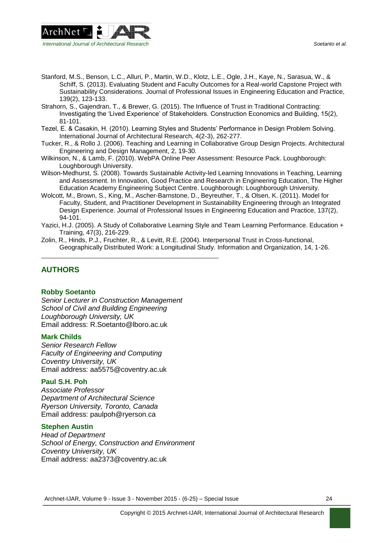

- Stanford, M.S., Benson, L.C., Alluri, P., Martin, W.D., Klotz, L.E., Ogle, J.H., Kaye, N., Sarasua, W., & Schiff, S. (2013). Evaluating Student and Faculty Outcomes for a Real-world Capstone Project with Sustainability Considerations. Journal of Professional Issues in Engineering Education and Practice, 139(2), 123-133.
- Strahorn, S., Gajendran, T., & Brewer, G. (2015). The Influence of Trust in Traditional Contracting: Investigating the 'Lived Experience' of Stakeholders. Construction Economics and Building, 15(2), 81-101.
- Tezel, E. & Casakin, H. (2010). Learning Styles and Students' Performance in Design Problem Solving. International Journal of Architectural Research, 4(2-3), 262-277.
- Tucker, R., & Rollo J. (2006). Teaching and Learning in Collaborative Group Design Projects. Architectural Engineering and Design Management, 2, 19-30.
- Wilkinson, N., & Lamb, F. (2010). WebPA Online Peer Assessment: Resource Pack. Loughborough: Loughborough University.
- Wilson-Medhurst, S. (2008). Towards Sustainable Activity-led Learning Innovations in Teaching, Learning and Assessment. In Innovation, Good Practice and Research in Engineering Education, The Higher Education Academy Engineering Subject Centre. Loughborough: Loughborough University.
- Wolcott, M., Brown, S., King, M., Ascher-Barnstone, D., Beyreuther, T., & Olsen, K. (2011). Model for Faculty, Student, and Practitioner Development in Sustainability Engineering through an Integrated Design Experience. Journal of Professional Issues in Engineering Education and Practice, 137(2), 94-101.
- Yazici, H.J. (2005). A Study of Collaborative Learning Style and Team Learning Performance. Education + Training, 47(3), 216-229.
- Zolin, R., Hinds, P.J., Fruchter, R., & Levitt, R.E. (2004). Interpersonal Trust in Cross-functional, Geographically Distributed Work: a Longitudinal Study. Information and Organization, 14, 1-26.

# **AUTHORS**

#### **Robby Soetanto**

*Senior Lecturer in Construction Management School of Civil and Building Engineering Loughborough University, UK* Email address: [R.Soetanto@lboro.ac.uk](mailto:R.Soetanto@lboro.ac.uk)

\_\_\_\_\_\_\_\_\_\_\_\_\_\_\_\_\_\_\_\_\_\_\_\_\_\_\_\_\_\_\_\_\_\_\_\_\_\_\_\_\_\_\_\_\_\_\_\_\_\_

#### **Mark Childs**

*Senior Research Fellow Faculty of Engineering and Computing Coventry University, UK* Email address: aa5575@coventry.ac.uk

#### **Paul S.H. Poh**

*Associate Professor Department of Architectural Science Ryerson University, Toronto, Canada* Email address: [paulpoh@ryerson.](mailto:paulpoh@ryerson)ca

#### **Stephen Austin**

*Head of Department School of Energy, Construction and Environment Coventry University, UK* Email address: aa2373@coventry.ac.uk